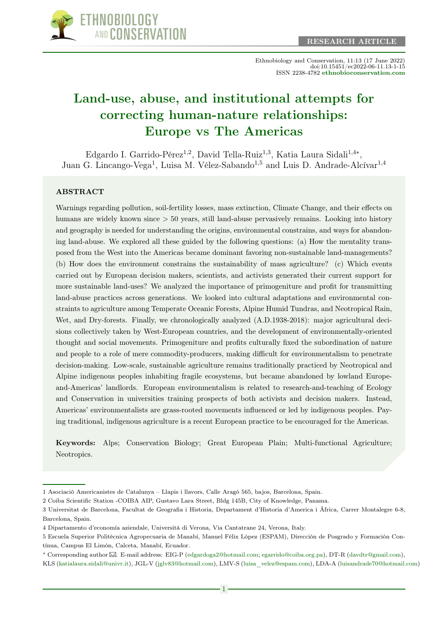

Ethnobiology and Conservation, 11:13 (17 June 2022) doi:10.15451/ec2022-06-11.13-1-15 ISSN 2238-4782 [ethnobioconservation.com](https://ethnobioconservation.com/index.php/ebc)

# [Land-use, abuse, and institutional attempts for](https://ethnobioconservation.com/index.php/ebc/article/view/523) [correcting human-nature relationships:](https://ethnobioconservation.com/index.php/ebc/article/view/523) [Europe vs The Americas](https://ethnobioconservation.com/index.php/ebc/article/view/523)

Edgardo I. Garrido-Pérez<sup>1,2</sup>, David Tella-Ruiz<sup>1,3</sup>, Katia Laura Sidali<sup>1,4\*</sup>, Juan G. Lincango-Vega<sup>1</sup>, Luisa M. Vélez-Sabando<sup>1,5</sup> and Luis D. Andrade-Alcívar<sup>1,4</sup>

#### ABSTRACT

Warnings regarding pollution, soil-fertility losses, mass extinction, Climate Change, and their effects on humans are widely known since > 50 years, still land-abuse pervasively remains. Looking into history and geography is needed for understanding the origins, environmental constrains, and ways for abandoning land-abuse. We explored all these guided by the following questions: (a) How the mentality transposed from the West into the Americas became dominant favoring non-sustainable land-managements? (b) How does the environment constrains the sustainability of mass agriculture? (c) Which events carried out by European decision makers, scientists, and activists generated their current support for more sustainable land-uses? We analyzed the importance of primogeniture and profit for transmitting land-abuse practices across generations. We looked into cultural adaptations and environmental constraints to agriculture among Temperate Oceanic Forests, Alpine Humid Tundras, and Neotropical Rain, Wet, and Dry-forests. Finally, we chronologically analyzed  $(A.D.1938-2018)$ : major agricultural decisions collectively taken by West-European countries, and the development of environmentally-oriented thought and social movements. Primogeniture and profits culturally fixed the subordination of nature and people to a role of mere commodity-producers, making difficult for environmentalism to penetrate decision-making. Low-scale, sustainable agriculture remains traditionally practiced by Neotropical and Alpine indigenous peoples inhabiting fragile ecosystems, but became abandoned by lowland Europeand-Americas' landlords. European environmentalism is related to research-and-teaching of Ecology and Conservation in universities training prospects of both activists and decision makers. Instead, Americas' environmentalists are grass-rooted movements influenced or led by indigenous peoples. Paying traditional, indigenous agriculture is a recent European practice to be encouraged for the Americas.

Keywords: Alps; Conservation Biology; Great European Plain; Multi-functional Agriculture; Neotropics.

<sup>1</sup> Asociació Americanistes de Catalunya – Llapis i llavors, Calle Aragó 565, bajos, Barcelona, Spain.

<sup>2</sup> Coiba Scientific Station -COIBA AIP, Gustavo Lara Street, Bldg 145B, City of Knowledge, Panama.

<sup>3</sup> Universitat de Barcelona, Facultat de Geografia i Historia, Departament d'Historia d'America i África, Carrer Montalegre 6-8, Barcelona, Spain.

<sup>4</sup> Dipartamento d'economía aziendale, Università di Verona, Via Cantatrane 24, Verona, Italy.

<sup>5</sup> Escuela Superior Politécnica Agropecuaria de Manabí, Manuel Félix López (ESPAM), Dirección de Posgrado y Formación Contínua, Campus El Limón, Calceta, Manabí, Ecuador.

<sup>∗</sup> Corresponding author [.](mailto:egarrido@coiba.org.pa) E-mail address: EIG-P [\(edgardoga2@hotmail.com;](mailto:edgardoga2@hotmail.com) [egarrido@coiba.org.pa\)](mailto:egarrido@coiba.org.pa), DT-R [\(davdtr@gmail.com\)](mailto:davdtr@gmail.com),

KLS [\(katialaura.sidali@univr.it\)](mailto:katialaura.sidali@univr.it), JGL-V [\(jglv83@hotmail.com\)](mailto:jglv83@hotmail.com), LMV-S [\(luisa\\_velez@espam.com\)](mailto:luisa_velez@espam.com), LDA-A [\(luisandrade70@hotmail.com\)](mailto:luisandrade70@hotmail.com)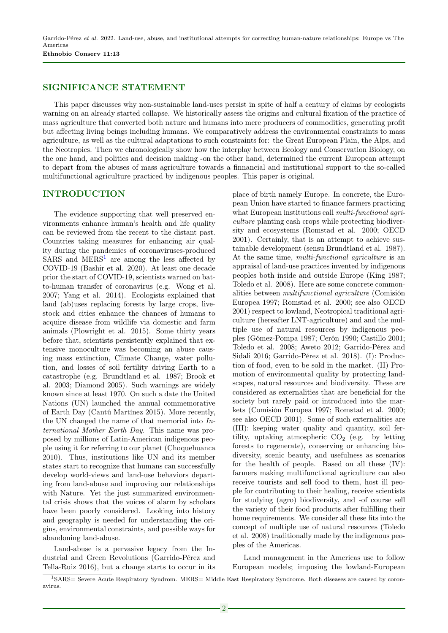Garrido-Pérez et al. 2022. Land-use, abuse, and institutional attempts for correcting human-nature relationships: Europe vs The Americas Ethnobio Conserv 11:13

### SIGNIFICANCE STATEMENT

This paper discusses why non-sustainable land-uses persist in spite of half a century of claims by ecologists warning on an already started collapse. We historically assess the origins and cultural fixation of the practice of mass agriculture that converted both nature and humans into mere producers of commodities, generating profit but affecting living beings including humans. We comparatively address the environmental constraints to mass agriculture, as well as the cultural adaptations to such constraints for: the Great European Plain, the Alps, and the Neotropics. Then we chronologically show how the interplay between Ecology and Conservation Biology, on the one hand, and politics and decision making -on the other hand, determined the current European attempt to depart from the abuses of mass agriculture towards a finnancial and institutional support to the so-called multifunctional agriculture practiced by indigenous peoples. This paper is original.

#### INTRODUCTION

The evidence supporting that well preserved environments enhance human's health and life quality can be reviewed from the recent to the distant past. Countries taking measures for enhancing air quality during the pandemics of coronaviruses-produced  $SARS$  and  $MERS<sup>1</sup>$  $MERS<sup>1</sup>$  $MERS<sup>1</sup>$  are among the less affected by COVID-19 (Bashir et al. 2020). At least one decade prior the start of COVID-19, scientists warned on batto-human transfer of coronavirus (e.g. Wong et al. 2007; Yang et al. 2014). Ecologists explained that land (ab)uses replacing forests by large crops, livestock and cities enhance the chances of humans to acquire disease from wildlife via domestic and farm animals (Plowright et al. 2015). Some thirty years before that, scientists persistently explained that extensive monoculture was becoming an abuse causing mass extinction, Climate Change, water pollution, and losses of soil fertility driving Earth to a catastrophe (e.g. Brundtland et al. 1987; Brook et al. 2003; Diamond 2005). Such warnings are widely known since at least 1970. On such a date the United Nations (UN) launched the annual commemorative of Earth Day (Cantú Martínez 2015). More recently, the UN changed the name of that memorial into International Mother Earth Day. This name was proposed by millions of Latin-American indigenous people using it for referring to our planet (Choquehuanca 2010). Thus, institutions like UN and its member states start to recognize that humans can successfully develop world-views and land-use behaviors departing from land-abuse and improving our relationships with Nature. Yet the just summarized environmental crisis shows that the voices of alarm by scholars have been poorly considered. Looking into history and geography is needed for understanding the origins, environmental constraints, and possible ways for abandoning land-abuse.

Land-abuse is a pervasive legacy from the Industrial and Green Revolutions (Garrido-Pérez and Tella-Ruiz 2016), but a change starts to occur in its

place of birth namely Europe. In concrete, the European Union have started to finance farmers practicing what European institutions call *multi-functional agri*culture planting cash crops while protecting biodiversity and ecosystems (Romstad et al. 2000; OECD 2001). Certainly, that is an attempt to achieve sustainable development (sensu Brundtland et al. 1987). At the same time, *multi-functional agriculture* is an appraisal of land-use practices invented by indigenous peoples both inside and outside Europe (King 1987; Toledo et al. 2008). Here are some concrete commonalities between multifunctional agriculture (Comisión Europea 1997; Romstad et al. 2000; see also OECD 2001) respect to lowland, Neotropical traditional agriculture (hereafter LNT-agriculture) and and the multiple use of natural resources by indigenous peoples (Gómez-Pompa 1987; Cerón 1990; Castillo 2001; Toledo et al. 2008; Aweto 2012; Garrido-Pérez and Sidali 2016; Garrido-Pérez et al. 2018). (I): Production of food, even to be sold in the market. (II) Promotion of environmental quality by protecting landscapes, natural resources and biodiversity. These are considered as externalities that are beneficial for the society but rarely paid or introduced into the markets (Comisión Europea 1997; Romstad et al. 2000; see also OECD 2001). Some of such externalities are (III): keeping water quality and quantity, soil fertility, uptaking atmospheric  $CO<sub>2</sub>$  (e.g. by letting forests to regenerate), conserving or enhancing biodiversity, scenic beauty, and usefulness as scenarios for the health of people. Based on all these (IV): farmers making multifunctional agriculture can also receive tourists and sell food to them, host ill people for contributing to their healing, receive scientists for studying (agro) biodiversity, and -of course sell the variety of their food products after fulfilling their home requirements. We consider all these fits into the concept of multiple use of natural resources (Toledo et al. 2008) traditionally made by the indigenous peoples of the Americas.

Land management in the Americas use to follow European models; imposing the lowland-European

<span id="page-1-0"></span><sup>1</sup>SARS= Severe Acute Respiratory Syndrom. MERS= Middle East Respiratory Syndrome. Both diseases are caused by coronavirus.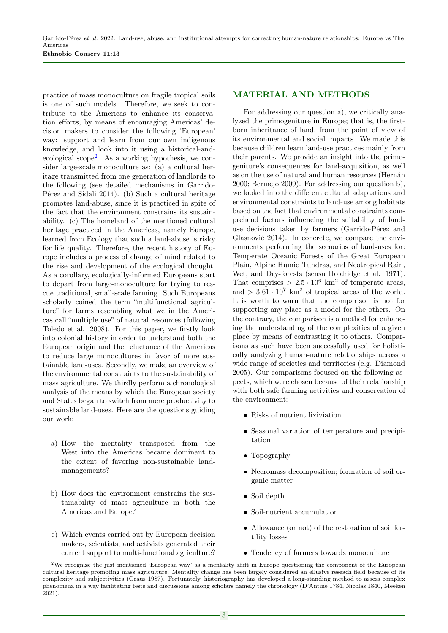practice of mass monoculture on fragile tropical soils is one of such models. Therefore, we seek to contribute to the Americas to enhance its conservation efforts, by means of encouraging Americas' decision makers to consider the following 'European' way: support and learn from our own indigenous knowledge, and look into it using a historical-andecological scope[2](#page-2-0) . As a working hypothesis, we consider large-scale monoculture as: (a) a cultural heritage transmitted from one generation of landlords to the following (see detailed mechanisms in Garrido-Pérez and Sidali 2014). (b) Such a cultural heritage promotes land-abuse, since it is practiced in spite of the fact that the environment constrains its sustainability. (c) The homeland of the mentioned cultural heritage practiced in the Americas, namely Europe, learned from Ecology that such a land-abuse is risky for life quality. Therefore, the recent history of Europe includes a process of change of mind related to the rise and development of the ecological thought. As a corollary, ecologically-informed Europeans start to depart from large-monoculture for trying to rescue traditional, small-scale farming. Such Europeans scholarly coined the term "multifunctional agriculture" for farms resembling what we in the Americas call "multiple use" of natural resources (following Toledo et al. 2008). For this paper, we firstly look into colonial history in order to understand both the European origin and the reluctance of the Americas to reduce large monocultures in favor of more sustainable land-uses. Secondly, we make an overview of the environmental constraints to the sustainability of mass agriculture. We thirdly perform a chronological analysis of the means by which the European society and States began to switch from mere productivity to sustainable land-uses. Here are the questions guiding our work:

- a) How the mentality transposed from the West into the Americas became dominant to the extent of favoring non-sustainable landmanagements?
- b) How does the environment constrains the sustainability of mass agriculture in both the Americas and Europe?
- c) Which events carried out by European decision makers, scientists, and activists generated their current support to multi-functional agriculture?

## MATERIAL AND METHODS

For addressing our question a), we critically analyzed the primogeniture in Europe; that is, the firstborn inheritance of land, from the point of view of its environmental and social impacts. We made this because children learn land-use practices mainly from their parents. We provide an insight into the primogeniture's consequences for land-acquisition, as well as on the use of natural and human resources (Hernán 2000; Bermejo 2009). For addressing our question b), we looked into the different cultural adaptations and environmental constraints to land-use among habitats based on the fact that environmental constraints comprehend factors influencing the suitability of landuse decisions taken by farmers (Garrido-Pérez and Glasnović 2014). In concrete, we compare the environments performing the scenarios of land-uses for: Temperate Oceanic Forests of the Great European Plain, Alpine Humid Tundras, and Neotropical Rain, Wet, and Dry-forests (sensu Holdridge et al. 1971). That comprises  $> 2.5 \cdot 10^6$  km<sup>2</sup> of temperate areas, and  $> 3.61 \cdot 10^7$  km<sup>2</sup> of tropical areas of the world. It is worth to warn that the comparison is not for supporting any place as a model for the others. On the contrary, the comparison is a method for enhancing the understanding of the complexities of a given place by means of contrasting it to others. Comparisons as such have been successfully used for holistically analyzing human-nature relationships across a wide range of societies and territories (e.g. Diamond 2005). Our comparisons focused on the following aspects, which were chosen because of their relationship with both safe farming activities and conservation of the environment:

- Risks of nutrient lixiviation
- Seasonal variation of temperature and precipitation
- Topography
- Necromass decomposition; formation of soil organic matter
- Soil depth
- Soil-nutrient accumulation
- Allowance (or not) of the restoration of soil fertility losses
- Tendency of farmers towards monoculture

<span id="page-2-0"></span><sup>2</sup>We recognize the just mentioned 'European way' as a mentality shift in Europe questioning the component of the European cultural heritage promoting mass agriculture. Mentality change has been largely considered an ellusive reseach field because of its complexity and subjectivities (Graus 1987). Fortunately, historiography has developed a long-standing method to assess complex phenomena in a way facilitating tests and discussions among scholars namely the chronology (D'Antine 1784, Nicolas 1840, Meeken 2021).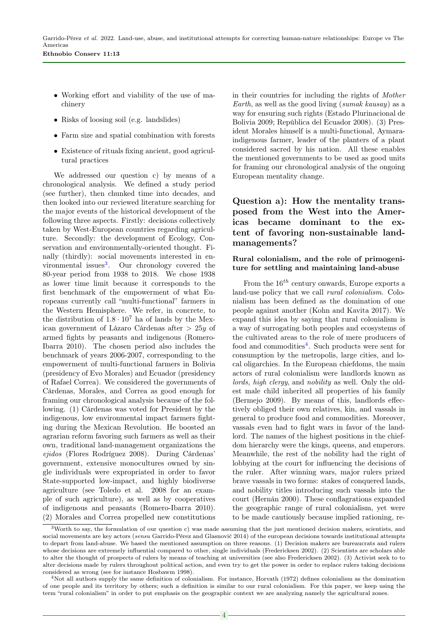- Working effort and viability of the use of machinery
- Risks of loosing soil (e.g. landslides)
- Farm size and spatial combination with forests
- Existence of rituals fixing ancient, good agricultural practices

We addressed our question c) by means of a chronological analysis. We defined a study period (see further), then chunked time into decades, and then looked into our reviewed literature searching for the major events of the historical development of the following three aspects. Firstly: decisions collectively taken by West-European countries regarding agriculture. Secondly: the development of Ecology, Conservation and environmentally-oriented thought. Finally (thirdly): social movements interested in en-vironmental issues<sup>[3](#page-3-0)</sup>. Our chronology covered the 80-year period from 1938 to 2018. We chose 1938 as lower time limit because it corresponds to the first benchmark of the empowerment of what Europeans currently call "multi-functional" farmers in the Western Hemisphere. We refer, in concrete, to the distribution of  $1.8 \cdot 10^7$  ha of lands by the Mexican government of Lázaro Cárdenas after > 25y of armed fights by peasants and indigenous (Romero-Ibarra 2010). The chosen period also includes the benchmark of years 2006-2007, corresponding to the empowerment of multi-functional farmers in Bolivia (presidency of Evo Morales) and Ecuador (presidency of Rafael Correa). We considered the governments of Cárdenas, Morales, and Correa as good enough for framing our chronological analysis because of the following. (1) Cárdenas was voted for President by the indigenous, low environmental impact farmers fighting during the Mexican Revolution. He boosted an agrarian reform favoring such farmers as well as their own, traditional land-management organizations the ejidos (Flores Rodríguez 2008). During Cárdenas' government, extensive monocultures owned by single individuals were expropriated in order to favor State-supported low-impact, and highly biodiverse agriculture (see Toledo et al. 2008 for an example of such agriculture), as well as by cooperatives of indigenous and peasants (Romero-Ibarra 2010). (2) Morales and Correa propelled new constitutions

in their countries for including the rights of Mother Earth, as well as the good living (sumak kausay) as a way for ensuring such rights (Estado Plurinacional de Bolivia 2009; República del Ecuador 2008). (3) President Morales himself is a multi-functional, Aymaraindigenous farmer, leader of the planters of a plant considered sacred by his nation. All these enables the mentioned governments to be used as good units for framing our chronological analysis of the ongoing European mentality change.

# Question a): How the mentality transposed from the West into the Americas became dominant to the extent of favoring non-sustainable landmanagements?

#### Rural colonialism, and the role of primogeniture for settling and maintaining land-abuse

From the  $16^{th}$  century onwards, Europe exports a land-use policy that we call rural colonialism. Colonialism has been defined as the domination of one people against another (Kohn and Kavita 2017). We expand this idea by saying that rural colonialism is a way of surrogating both peoples and ecosystems of the cultivated areas to the role of mere producers of food and commodities<sup>[4](#page-3-1)</sup>. Such products were sent for consumption by the metropolis, large cities, and local oligarchies. In the European chiefdoms, the main actors of rural colonialism were landlords known as lords, high clergy, and nobility as well. Only the oldest male child inherited all properties of his family (Bermejo 2009). By means of this, landlords effectively obliged their own relatives, kin, and vassals in general to produce food and commodities. Moreover, vassals even had to fight wars in favor of the landlord. The names of the highest positions in the chiefdom hierarchy were the kings, queens, and emperors. Meanwhile, the rest of the nobility had the right of lobbying at the court for influencing the decisions of the ruler. After winning wars, major rulers prized brave vassals in two forms: stakes of conquered lands, and nobility titles introducing such vassals into the court (Hernán 2000). These conflagrations expanded the geographic range of rural colonialism, yet were to be made cautiously because implied rationing, re-

<span id="page-3-0"></span> $3$ Worth to say, the formulation of our question c) was made assuming that the just mentioned decision makers, scientists, and social movements are key actors (sensu Garrido-Pérez and Glasnović 2014) of the european decisions towards institutional attempts to depart from land-abuse. We based the mentioned assumption on three reasons. (1) Decision makers are bureaucrats and rulers whose decisions are extremely influential compared to other, single individuals (Fredericksen 2002). (2) Scientists are scholars able to alter the thought of prospects of rulers by means of teaching at universities (see also Fredericksen 2002). (3) Activist seek to to alter decisions made by rulers throughout political action, and even try to get the power in order to replace rulers taking decisions considered as wrong (see for instance Hosbawm 1998).

<span id="page-3-1"></span><sup>4</sup>Not all authors supply the same definition of colonialism. For instance, Horvath (1972) defines colonialism as the domination of one people and its territory by others; such a definition is similar to our rural colonialism. For this paper, we keep using the term "rural colonialism" in order to put emphasis on the geographic context we are analyzing namely the agricultural zones.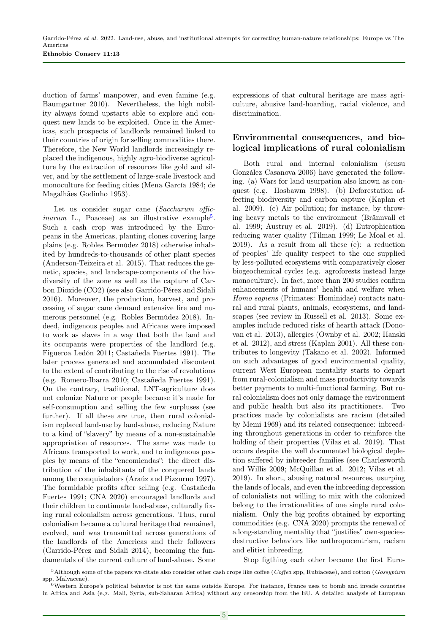duction of farms' manpower, and even famine (e.g. Baumgartner 2010). Nevertheless, the high nobility always found upstarts able to explore and conquest new lands to be exploited. Once in the Americas, such prospects of landlords remained linked to their countries of origin for selling commodities there. Therefore, the New World landlords increasingly replaced the indigenous, highly agro-biodiverse agriculture by the extraction of resources like gold and silver, and by the settlement of large-scale livestock and monoculture for feeding cities (Mena García 1984; de Magalhães Godinho 1953).

Let us consider sugar cane (Saccharum offic*inarum* L., Poaceae) as an illustrative example<sup>[5](#page-4-0)</sup>. Such a cash crop was introduced by the Europeans in the Americas, planting clones covering large plains (e.g. Robles Bermúdez 2018) otherwise inhabited by hundreds-to-thousands of other plant species (Anderson-Teixeira et al. 2015). That reduces the genetic, species, and landscape-components of the biodiversity of the zone as well as the capture of Carbon Dioxide (CO2) (see also Garrido-Pérez and Sidali 2016). Moreover, the production, harvest, and processing of sugar cane demand extensive fire and numerous personnel (e.g. Robles Bermúdez 2018). Indeed, indigenous peoples and Africans were imposed to work as slaves in a way that both the land and its occupants were properties of the landlord (e.g. Figueroa Ledón 2011; Castañeda Fuertes 1991). The later process generated and accumulated discontent to the extent of contributing to the rise of revolutions (e.g. Romero-Ibarra 2010; Castañeda Fuertes 1991). On the contrary, traditional, LNT-agriculture does not colonize Nature or people because it's made for self-consumption and selling the few surpluses (see further). If all these are true, then rural colonialism replaced land-use by land-abuse, reducing Nature to a kind of "slavery" by means of a non-sustainable appropriation of resources. The same was made to Africans transported to work, and to indigenous peoples by means of the "encomiendas": the direct distribution of the inhabitants of the conquered lands among the conquistadors (Araúz and Pizzurno 1997). The formidable profits after selling (e.g. Castañeda Fuertes 1991; CNA 2020) encouraged landlords and their children to continuate land-abuse, culturally fixing rural colonialism across generations. Thus, rural colonialism became a cultural heritage that remained, evolved, and was transmitted across generations of the landlords of the Americas and their followers (Garrido-Pérez and Sidali 2014), becoming the fundamentals of the current culture of land-abuse. Some

expressions of that cultural heritage are mass agriculture, abusive land-hoarding, racial violence, and discrimination.

# Environmental consequences, and biological implications of rural colonialism

Both rural and internal colonialism (sensu González Casanova 2006) have generated the following. (a) Wars for land usurpation also known as conquest (e.g. Hosbawm 1998). (b) Deforestation affecting biodiversity and carbon capture (Kaplan et al. 2009). (c) Air pollution; for instance, by throwing heavy metals to the environment (Brännvall et al. 1999; Austruy et al. 2019). (d) Eutrophication reducing water quality (Tilman 1999; Le Moal et al. 2019). As a result from all these (e): a reduction of peoples' life quality respect to the one supplied by less-polluted ecosystems with comparatively closer biogeochemical cycles (e.g. agroforests instead large monoculture). In fact, more than 200 studies confirm enhancements of humans' health and welfare when Homo sapiens (Primates: Hominidae) contacts natural and rural plants, animals, ecosystems, and landscapes (see review in Russell et al. 2013). Some examples include reduced risks of hearth attack (Donovan et al. 2013), allergies (Ownby et al. 2002; Hanski et al. 2012), and stress (Kaplan 2001). All these contributes to longevity (Takano et al. 2002). Informed on such advantages of good environmental quality, current West European mentality starts to depart from rural-colonialism and mass productivity towards better payments to multi-functional farming. But rural colonialism does not only damage the environment and public health but also its practitioners. Two practices made by colonialists are racism (detailed by Memi 1969) and its related consequence: inbreeding throughout generations in order to reinforce the holding of their properties (Vilas et al. 2019). That occurs despite the well documented biological depletion suffered by inbreeder families (see Charlesworth and Willis 2009; McQuillan et al. 2012; Vilas et al. 2019). In short, abusing natural resources, usurping the lands of locals, and even the inbreeding depression of colonialists not willing to mix with the colonized belong to the irrationalities of one single rural colonialism. Only the big profits obtained by exporting commodities (e.g. CNA 2020) prompts the renewal of a long-standing mentality that "justifies" own-speciesdestructive behaviors like anthropocentrism, racism and elitist inbreeding.

Stop figthing each other became the first Euro-

<span id="page-4-0"></span> $5$ Although some of the papers we citate also consider other cash crops like coffee (*Coffea* spp, Rubiaceae), and cotton (*Gossypium*) spp, Malvaceae).

<span id="page-4-1"></span><sup>6</sup>Western Europe's political behavior is not the same outside Europe. For instance, France uses to bomb and invade countries in Africa and Asia (e.g. Mali, Syria, sub-Saharan Africa) without any censorship from the EU. A detailed analysis of European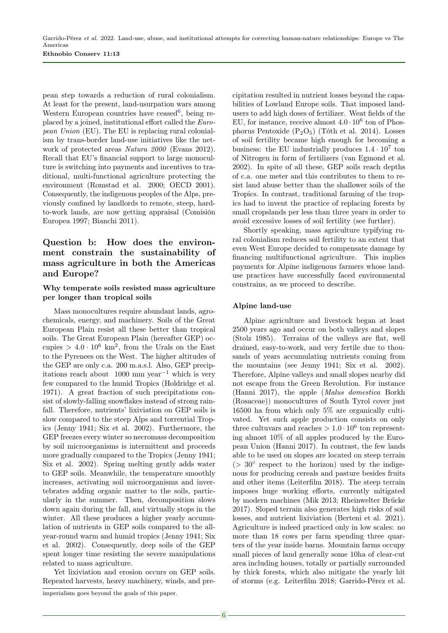pean step towards a reduction of rural colonialism. At least for the present, land-usurpation wars among Western European countries have ceased<sup>[6](#page-4-1)</sup>, being replaced by a joined, institutional effort called the European Union (EU). The EU is replacing rural colonialism by trans-border land-use initiatives like the network of protected areas Natura 2000 (Evans 2012). Recall that EU's financial support to large monoculture is switching into payments and incentives to traditional, multi-functional agriculture protecting the environment (Romstad et al. 2000; OECD 2001). Consequently, the indigenous peoples of the Alps, previously confined by landlords to remote, steep, hardto-work lands, are now getting appraisal (Comisión Europea 1997; Bianchi 2011).

# Question b: How does the environment constrain the sustainability of mass agriculture in both the Americas and Europe?

#### Why temperate soils resisted mass agriculture per longer than tropical soils

Mass monocultures require abundant lands, agrochemicals, energy, and machinery. Soils of the Great European Plain resist all these better than tropical soils. The Great European Plain (hereafter GEP) occupies  $> 4.0 \cdot 10^6$  km<sup>2</sup>, from the Urals on the East to the Pyrenees on the West. The higher altitudes of the GEP are only c.a. 200 m.a.s.l. Also, GEP precipitations reach about 1000 mm year<sup>-1</sup> which is very few compared to the humid Tropics (Holdridge et al. 1971). A great fraction of such precipitations consist of slowly-falling snowflakes instead of strong rainfall. Therefore, nutrients' lixiviation on GEP soils is slow compared to the steep Alps and torrential Tropics (Jenny 1941; Six et al. 2002). Furthermore, the GEP freezes every winter so necromass decomposition by soil microorganisms is intermittent and proceeds more gradually compared to the Tropics (Jenny 1941; Six et al. 2002). Spring melting gently adds water to GEP soils. Meanwhile, the temperature smoothly increases, activating soil microorganisms and invertebrates adding organic matter to the soils, particularly in the summer. Then, decomposition slows down again during the fall, and virtually stops in the winter. All these produces a higher yearly accumulation of nutrients in GEP soils compared to the allyear-round warm and humid tropics (Jenny 1941; Six et al. 2002). Consequently, deep soils of the GEP spent longer time resisting the severe manipulations related to mass agriculture.

Yet lixiviation and erosion occurs on GEP soils. Repeated harvests, heavy machinery, winds, and preimperialism goes beyond the goals of this paper.

cipitation resulted in nutrient losses beyond the capabilities of Lowland Europe soils. That imposed landusers to add high doses of fertilizer. Weat fields of the EU, for instance, receive almost  $4.0 \cdot 10^6$  ton of Phosphorus Pentoxide  $(P_2O_5)$  (Tóth et al. 2014). Losses of soil fertility became high enough for becoming a business: the EU industrially produces  $1.4 \cdot 10^7$  ton of Nitrogen in form of fertilizers (van Egmond et al. 2002). In spite of all these, GEP soils reach depths of c.a. one meter and this contributes to them to resist land abuse better than the shallower soils of the Tropics. In contrast, traditional farming of the tropics had to invent the practice of replacing forests by small cropslands per less than three years in order to avoid excessive losses of soil fertility (see further).

Shortly speaking, mass agriculture typifying rural colonialism reduces soil fertility to an extent that even West Europe decided to compensate damage by financing multifunctional agriculture. This implies payments for Alpine indigenous farmers whose landuse practices have successfully faced environmental constrains, as we proceed to describe.

### Alpine land-use

Alpine agriculture and livestock began at least 2500 years ago and occur on both valleys and slopes (Stolz 1985). Terrains of the valleys are flat, well drained, easy-to-work, and very fertile due to thousands of years accumulating nutrients coming from the mountains (see Jenny 1941; Six et al. 2002). Therefore, Alpine valleys and small slopes nearby did not escape from the Green Revolution. For instance (Hanni 2017), the apple (Malus domestica Borkh (Rosaceae)) monocultures of South Tyrol cover just 16500 ha from which only 5% are organically cultivated. Yet such apple production consists on only three cultuvars and reaches  $> 1.0 \cdot 10^6$  ton representing almost 10% of all apples produced by the European Union (Hanni 2017). In contrast, the few lands able to be used on slopes are located on steep terrain  $(> 30°$  respect to the horizon) used by the indigenous for producing cereals and pasture besides fruits and other items (Leiterfilm 2018). The steep terrain imposes huge working efforts, currently mitigated by modern machines (Mik 2013; Rheinwelter Brücke 2017). Sloped terrain also generates high risks of soil losses, and nutrient lixiviation (Berteni et al. 2021). Agriculture is indeed practiced only in low scales: no more than 18 cows per farm spending three quarters of the year inside barns. Mountain farms occupy small pieces of land generally some 10ha of clear-cut area including houses, totally or partially surrounded by thick forests, which also mitigate the yearly hit of storms (e.g. Leiterfilm 2018; Garrido-Pérez et al.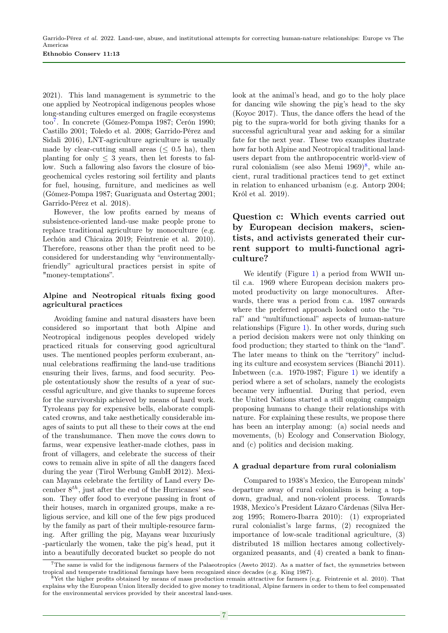2021). This land management is symmetric to the one applied by Neotropical indigenous peoples whose long-standing cultures emerged on fragile ecosystems too[7](#page-6-0) . In concrete (Gómez-Pompa 1987; Cerón 1990; Castillo 2001; Toledo et al. 2008; Garrido-Pérez and Sidali 2016), LNT-agriculture agriculture is usually made by clear-cutting small areas ( $\leq 0.5$  ha), then planting for only  $\leq$  3 years, then let forests to fallow. Such a fallowing also favors the closure of biogeochemical cycles restoring soil fertility and plants for fuel, housing, furniture, and medicines as well (Gómez-Pompa 1987; Guariguata and Ostertag 2001; Garrido-Pérez et al. 2018).

However, the low profits earned by means of subsistence-oriented land-use make people prone to replace traditional agriculture by monoculture (e.g. Lechón and Chicaiza 2019; Feintrenie et al. 2010). Therefore, reasons other than the profit need to be considered for understanding why "environmentallyfriendly" agricultural practices persist in spite of "money-temptations".

### Alpine and Neotropical rituals fixing good agricultural practices

Avoiding famine and natural disasters have been considered so important that both Alpine and Neotropical indigenous peoples developed widely practiced rituals for conserving good agricultural uses. The mentioned peoples perform exuberant, annual celebrations reaffirming the land-use traditions ensuring their lives, farms, and food security. People ostentatiously show the results of a year of successful agriculture, and give thanks to supreme forces for the survivorship achieved by means of hard work. Tyroleans pay for expensive bells, elaborate complicated crowns, and take aesthetically considerable images of saints to put all these to their cows at the end of the transhumance. Then move the cows down to farms, wear expensive leather-made clothes, pass in front of villagers, and celebrate the success of their cows to remain alive in spite of all the dangers faced during the year (Tirol Werbung GmbH 2012). Mexican Mayans celebrate the fertility of Land every December  $8^{th}$ , just after the end of the Hurricanes' season. They offer food to everyone passing in front of their houses, march in organized groups, make a religious service, and kill one of the few pigs produced by the family as part of their multiple-resource farming. After grilling the pig, Mayans wear luxuriusly -particularly the women, take the pig's head, put it into a beautifully decorated bucket so people do not

look at the animal's head, and go to the holy place for dancing wile showing the pig's head to the sky (Koyoc 2017). Thus, the dance offers the head of the pig to the supra-world for both giving thanks for a successful agricultural year and asking for a similar fate for the next year. These two examples ilustrate how far both Alpine and Neotropical traditional landusers depart from the anthropocentric world-view of rural colonialism (see also Memi  $1969)^8$  $1969)^8$ , while ancient, rural traditional practices tend to get extinct in relation to enhanced urbanism (e.g. Antorp 2004; Król et al. 2019).

# Question c: Which events carried out by European decision makers, scientists, and activists generated their current support to multi-functional agriculture?

We identify (Figure [1\)](#page-7-0) a period from WWII until c.a. 1969 where European decision makers promoted productivity on large monocultures. Afterwards, there was a period from c.a. 1987 onwards where the preferred approach looked onto the "rural" and "multifunctional" aspects of human-nature relationships (Figure [1\)](#page-7-0). In other words, during such a period decision makers were not only thinking on food production; they started to think on the "land". The later means to think on the "territory" including its culture and ecosystem services (Bianchi 2011). Inbetween (c.a. 1970-1987; Figure [1\)](#page-7-0) we identify a period where a set of scholars, namely the ecologists became very influential. During that period, even the United Nations started a still ongoing campaign proposing humans to change their relationships with nature. For explaining these results, we propose there has been an interplay among: (a) social needs and movements, (b) Ecology and Conservation Biology, and (c) politics and decision making.

#### A gradual departure from rural colonialism

Compared to 1938's Mexico, the European minds' departure away of rural colonialism is being a topdown, gradual, and non-violent process. Towards 1938, Mexico's President Lázaro Cárdenas (Silva Herzog 1995; Romero-Ibarra 2010): (1) expropriated rural colonialist's large farms, (2) recognized the importance of low-scale traditional agriculture, (3) distributed 18 million hectares among collectivelyorganized peasants, and (4) created a bank to finan-

<span id="page-6-0"></span><sup>7</sup>The same is valid for the indigenous farmers of the Palaeotropics (Aweto 2012). As a matter of fact, the symmetries between tropical and temperate traditional farmings have been recognized since decades (e.g. King 1987).

<span id="page-6-1"></span><sup>8</sup>Yet the higher profits obtained by means of mass production remain attractive for farmers (e.g. Feintrenie et al. 2010). That explains why the European Union literally decided to give money to traditional, Alpine farmers in order to them to feel compensated for the environmental services provided by their ancestral land-uses.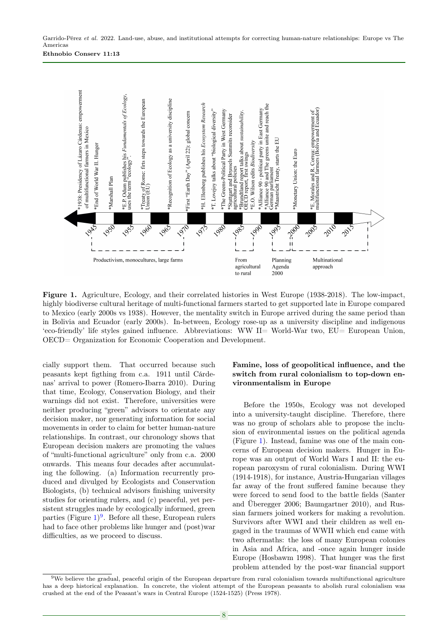<span id="page-7-0"></span>

Figure 1. Agriculture, Ecology, and their correlated histories in West Europe (1938-2018). The low-impact, highly biodiverse cultural heritage of multi-functional farmers started to get supported late in Europe compared to Mexico (early 2000s vs 1938). However, the mentality switch in Europe arrived during the same period than in Bolivia and Ecuador (early 2000s). In-between, Ecology rose-up as a university discipline and indigenous 'eco-friendly' life styles gained influence. Abbreviations: WW II= World-War two, EU= European Union, OECD= Organization for Economic Cooperation and Development.

cially support them. That occurred because such peasants kept figthing from c.a. 1911 until Cárdenas' arrival to power (Romero-Ibarra 2010). During that time, Ecology, Conservation Biology, and their warnings did not exist. Therefore, universities were neither producing "green" advisors to orientate any decision maker, nor generating information for social movements in order to claim for better human-nature relationships. In contrast, our chronology shows that European decision makers are promoting the values of "multi-functional agriculture" only from c.a. 2000 onwards. This means four decades after accumulating the following. (a) Information recurrently produced and divulged by Ecologists and Conservation Biologists, (b) technical advisors finishing university studies for orienting rulers, and (c) peaceful, yet persistent struggles made by ecologically informed, green parties (Figure [1\)](#page-7-0) [9](#page-7-1) . Before all these, European rulers had to face other problems like hunger and (post)war difficulties, as we proceed to discuss.

## Famine, loss of geopolitical influence, and the switch from rural colonialism to top-down environmentalism in Europe

Before the 1950s, Ecology was not developed into a university-taught discipline. Therefore, there was no group of scholars able to propose the inclusion of environmental issues on the political agenda (Figure [1\)](#page-7-0). Instead, famine was one of the main concerns of European decision makers. Hunger in Europe was an output of World Wars I and II: the european paroxysm of rural colonialism. During WWI (1914-1918), for instance, Austria-Hungarian villages far away of the front suffered famine because they were forced to send food to the battle fields (Santer and Überegger 2006; Baumgartner 2010), and Russian farmers joined workers for making a revolution. Survivors after WWI and their children as well engaged in the traumas of WWII which end came with two aftermaths: the loss of many European colonies in Asia and Africa, and -once again hunger inside Europe (Hosbawm 1998). That hunger was the first problem attended by the post-war financial support

<span id="page-7-1"></span><sup>9</sup>We believe the gradual, peaceful origin of the European departure from rural colonialism towards multifunctional agriculture has a deep historical explanation. In concrete, the violent attempt of the European peasants to abolish rural colonialism was crushed at the end of the Peasant's wars in Central Europe (1524-1525) (Press 1978).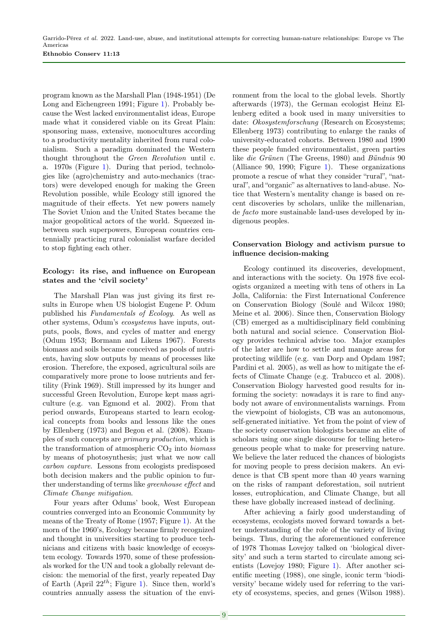program known as the Marshall Plan (1948-1951) (De Long and Eichengreen 1991; Figure [1\)](#page-7-0). Probably because the West lacked environmentalist ideas, Europe made what it considered viable on its Great Plain: sponsoring mass, extensive, monocultures according to a productivity mentality inherited from rural colonialism. Such a paradigm dominated the Western thought throughout the Green Revolution until c. a. 1970s (Figure [1\)](#page-7-0). During that period, technologies like (agro)chemistry and auto-mechanics (tractors) were developed enough for making the Green Revolution possible, while Ecology still ignored the magnitude of their effects. Yet new powers namely The Soviet Union and the United States became the major geopolitical actors of the world. Squeezed inbetween such superpowers, European countries centennially practicing rural colonialist warfare decided to stop fighting each other.

#### Ecology: its rise, and influence on European states and the 'civil society'

The Marshall Plan was just giving its first results in Europe when US biologist Eugene P. Odum published his Fundamentals of Ecology. As well as other systems, Odum's ecosystems have inputs, outputs, pools, flows, and cycles of matter and energy (Odum 1953; Bormann and Likens 1967). Forests biomass and soils became conceived as pools of nutrients, having slow outputs by means of processes like erosion. Therefore, the exposed, agricultural soils are comparatively more prone to loose nutrients and fertility (Frink 1969). Still impressed by its hunger and successful Green Revolution, Europe kept mass agriculture (e.g. van Egmond et al. 2002). From that period onwards, Europeans started to learn ecological concepts from books and lessons like the ones by Ellenberg (1973) and Begon et al. (2008). Examples of such concepts are primary production, which is the transformation of atmospheric  $CO<sub>2</sub>$  into *biomass* by means of photosynthesis; just what we now call carbon capture. Lessons from ecologists predisposed both decision makers and the public opinion to further understanding of terms like greenhouse effect and Climate Change mitigation.

Four years after Odums' book, West European countries converged into an Economic Community by means of the Treaty of Rome (1957; Figure [1\)](#page-7-0). At the morn of the 1960's, Ecology became firmly recognized and thought in universities starting to produce technicians and citizens with basic knowledge of ecosystem ecology. Towards 1970, some of these professionals worked for the UN and took a globally relevant decision: the memorial of the first, yearly repeated Day of Earth (April  $22^{th}$ ; Figure [1\)](#page-7-0). Since then, world's countries annually assess the situation of the environment from the local to the global levels. Shortly afterwards (1973), the German ecologist Heinz Ellenberg edited a book used in many universities to date: *Okosystemforschung* (Research on Ecosystems; Ellenberg 1973) contributing to enlarge the ranks of university-educated cohorts. Between 1980 and 1990 these people funded environmentalist, green parties like die Grünen (The Greens, 1980) and Bündnis 90 (Alliance 90, 1990; Figure [1\)](#page-7-0). These organizations promote a rescue of what they consider "rural", "natural", and "organic" as alternatives to land-abuse. Notice that Western's mentality change is based on recent discoveries by scholars, unlike the millenarian, de facto more sustainable land-uses developed by indigenous peoples.

## Conservation Biology and activism pursue to influence decision-making

Ecology continued its discoveries, development, and interactions with the society. On 1978 five ecologists organized a meeting with tens of others in La Jolla, California: the First International Conference on Conservation Biology (Soulé and Wilcox 1980; Meine et al. 2006). Since then, Conservation Biology (CB) emerged as a multidisciplinary field combining both natural and social science. Conservation Biology provides technical advise too. Major examples of the later are how to settle and manage areas for protecting wildlife (e.g. van Dorp and Opdam 1987; Pardini et al. 2005), as well as how to mitigate the effects of Climate Change (e.g. Trabucco et al. 2008). Conservation Biology harvested good results for informing the society: nowadays it is rare to find anybody not aware of environmentalists warnings. From the viewpoint of biologists, CB was an autonomous, self-generated initiative. Yet from the point of view of the society conservation biologists became an elite of scholars using one single discourse for telling heterogeneous people what to make for preserving nature. We believe the later reduced the chances of biologists for moving people to press decision makers. An evidence is that CB spent more than 40 years warning on the risks of rampant deforestation, soil nutrient losses, eutrophication, and Climate Change, but all these have globally increased instead of declining.

After achieving a fairly good understanding of ecosystems, ecologists moved forward towards a better understanding of the role of the variety of living beings. Thus, during the aforementioned conference of 1978 Thomas Lovejoy talked on 'biological diversity' and such a term started to circulate among scientists (Lovejoy 1980; Figure [1\)](#page-7-0). After another scientific meeting (1988), one single, iconic term 'biodiversity' became widely used for referring to the variety of ecosystems, species, and genes (Wilson 1988).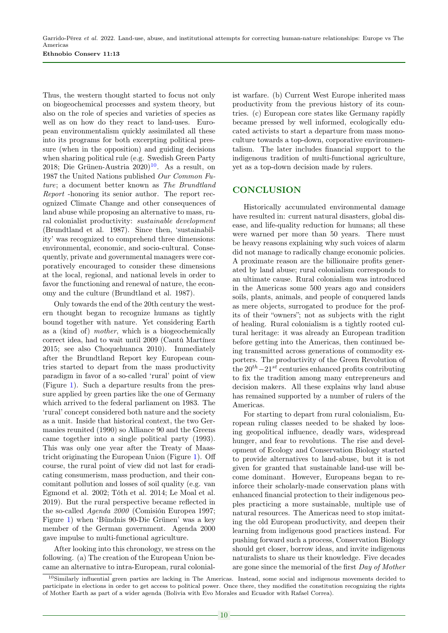Thus, the western thought started to focus not only on biogeochemical processes and system theory, but also on the role of species and varieties of species as well as on how do they react to land-uses. European environmentalism quickly assimilated all these into its programs for both excerpting political pressure (when in the opposition) and guiding decisions when sharing political rule (e.g. Swedish Green Party 2018; Die Grünen-Austria  $2020$ <sup>[10](#page-9-0)</sup>. As a result, on 1987 the United Nations published Our Common Future; a document better known as The Brundtland Report -honoring its senior author. The report recognized Climate Change and other consequences of land abuse while proposing an alternative to mass, rural colonialist productivity: sustainable development (Brundtland et al. 1987). Since then, 'sustainability' was recognized to comprehend three dimensions: environmental, economic, and socio-cultural. Consequently, private and governmental managers were corporatively encouraged to consider these dimensions at the local, regional, and national levels in order to favor the functioning and renewal of nature, the economy and the culture (Brundtland et al. 1987).

Only towards the end of the 20th century the western thought began to recognize humans as tightly bound together with nature. Yet considering Earth as a (kind of) mother, which is a biogeochemically correct idea, had to wait until 2009 (Cantú Martínez 2015; see also Choquehuanca 2010). Immediately after the Brundtland Report key European countries started to depart from the mass productivity paradigm in favor of a so-called 'rural' point of view (Figure [1\)](#page-7-0). Such a departure results from the pressure applied by green parties like the one of Germany which arrived to the federal parliament on 1983. The 'rural' concept considered both nature and the society as a unit. Inside that historical context, the two Germanies reunited (1990) so Alliance 90 and the Greens came together into a single political party (1993). This was only one year after the Treaty of Maastricht originating the European Union (Figure [1\)](#page-7-0). Off course, the rural point of view did not last for eradicating consumerism, mass production, and their concomitant pollution and losses of soil quality (e.g. van Egmond et al. 2002; Tóth et al. 2014; Le Moal et al. 2019). But the rural perspective became reflected in the so-called Agenda 2000 (Comisión Europea 1997; Figure [1\)](#page-7-0) when 'Bündnis 90-Die Grünen' was a key member of the German government. Agenda 2000 gave impulse to multi-functional agriculture.

After looking into this chronology, we stress on the following. (a) The creation of the European Union became an alternative to intra-European, rural colonialist warfare. (b) Current West Europe inherited mass productivity from the previous history of its countries. (c) European core states like Germany rapidly became pressed by well informed, ecologically educated activists to start a departure from mass monoculture towards a top-down, corporative environmentalism. The later includes financial support to the indigenous tradition of multi-functional agriculture, yet as a top-down decision made by rulers.

## **CONCLUSION**

Historically accumulated environmental damage have resulted in: current natural disasters, global disease, and life-quality reduction for humans; all these were warned per more than 50 years. There must be heavy reasons explaining why such voices of alarm did not manage to radically change economic policies. A proximate reason are the billionaire profits generated by land abuse; rural colonialism corresponds to an ultimate cause. Rural colonialism was introduced in the Americas some 500 years ago and considers soils, plants, animals, and people of conquered lands as mere objects, surrogated to produce for the profits of their "owners"; not as subjects with the right of healing. Rural colonialism is a tightly rooted cultural heritage: it was already an European tradition before getting into the Americas, then continued being transmitted across generations of commodity exporters. The productivity of the Green Revolution of the  $20^{th} - 21^{st}$  centuries enhanced profits contributing to fix the tradition among many entrepreneurs and decision makers. All these explains why land abuse has remained supported by a number of rulers of the Americas.

For starting to depart from rural colonialism, European ruling classes needed to be shaked by loosing geopolitical influence, deadly wars, widespread hunger, and fear to revolutions. The rise and development of Ecology and Conservation Biology started to provide alternatives to land-abuse, but it is not given for granted that sustainable land-use will become dominant. However, Europeans began to reinforce their scholarly-made conservation plans with enhanced financial protection to their indigenous peoples practicing a more sustainable, multiple use of natural resources. The Americas need to stop imitating the old European productivity, and deepen their learning from indigenous good practices instead. For pushing forward such a process, Conservation Biology should get closer, borrow ideas, and invite indigenous naturalists to share us their knowledge. Five decades are gone since the memorial of the first Day of Mother

<span id="page-9-0"></span> $10$ Similarly influential green parties are lacking in The Americas. Instead, some social and indigenous movements decided to participate in elections in order to get access to political power. Once there, they modified the constitution recognizing the rights of Mother Earth as part of a wider agenda (Bolivia with Evo Morales and Ecuador with Rafael Correa).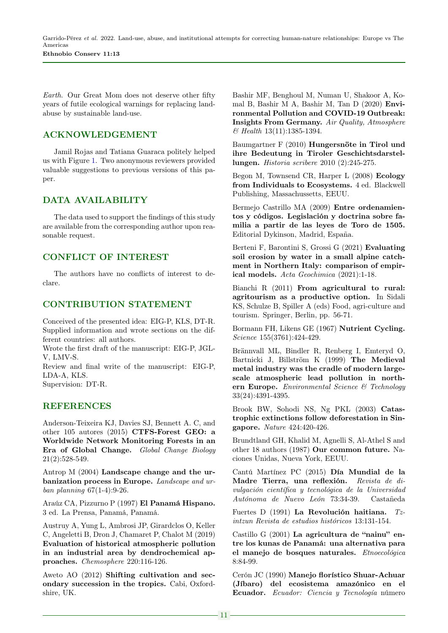Earth. Our Great Mom does not deserve other fifty years of futile ecological warnings for replacing landabuse by sustainable land-use.

## ACKNOWLEDGEMENT

Jamil Rojas and Tatiana Guaraca politely helped us with Figure [1.](#page-7-0) Two anonymous reviewers provided valuable suggestions to previous versions of this paper.

## DATA AVAILABILITY

The data used to support the findings of this study are available from the corresponding author upon reasonable request.

## CONFLICT OF INTEREST

The authors have no conflicts of interest to declare.

## CONTRIBUTION STATEMENT

Conceived of the presented idea: EIG-P, KLS, DT-R. Supplied information and wrote sections on the different countries: all authors.

Wrote the first draft of the manuscript: EIG-P, JGL-V, LMV-S.

Review and final write of the manuscript: EIG-P, LDA-A, KLS.

Supervision: DT-R.

## REFERENCES

Anderson-Teixeira KJ, Davies SJ, Bennett A. C, and other 105 autores (2015) CTFS-Forest GEO: a Worldwide Network Monitoring Forests in an Era of Global Change. Global Change Biology 21(2):528-549.

Antrop M (2004) Landscape change and the urbanization process in Europe. Landscape and urban planning 67(1-4):9-26.

Araúz CA, Pizzurno P (1997) El Panamá Hispano. 3 ed. La Prensa, Panamá, Panamá.

Austruy A, Yung L, Ambrosi JP, Girardclos O, Keller C, Angeletti B, Dron J, Chamaret P, Chalot M (2019) Evaluation of historical atmospheric pollution in an industrial area by dendrochemical approaches. Chemosphere 220:116-126.

Aweto AO (2012) Shifting cultivation and secondary succession in the tropics. Cabi, Oxfordshire, UK.

Bashir MF, Benghoul M, Numan U, Shakoor A, Komal B, Bashir M A, Bashir M, Tan D (2020) Environmental Pollution and COVID-19 Outbreak: Insights From Germany. Air Quality, Atmosphere & Health 13(11):1385-1394.

Baumgartner F (2010) Hungersnöte in Tirol und ihre Bedeutung in Tiroler Geschichtsdarstellungen. Historia scribere 2010 (2):245-275.

Begon M, Townsend CR, Harper L (2008) Ecology from Individuals to Ecosystems. 4 ed. Blackwell Publishing, Massachussetts, EEUU.

Bermejo Castrillo MA (2009) Entre ordenamientos y códigos. Legislación y doctrina sobre familia a partir de las leyes de Toro de 1505. Editorial Dykinson, Madrid, España.

Berteni F, Barontini S, Grossi G (2021) Evaluating soil erosion by water in a small alpine catchment in Northern Italy: comparison of empirical models. Acta Geochimica (2021):1-18.

Bianchi R (2011) From agricultural to rural: agritourism as a productive option. In Sidali KS, Schulze B, Spiller A (eds) Food, agri-culture and tourism. Springer, Berlin, pp. 56-71.

Bormann FH, Likens GE (1967) Nutrient Cycling. Science 155(3761):424-429.

Brännvall ML, Bindler R, Renberg I, Emteryd O, Bartnicki J, Billström K (1999) The Medieval metal industry was the cradle of modern largescale atmospheric lead pollution in northern Europe. Environmental Science & Technology 33(24):4391-4395.

Brook BW, Sohodi NS, Ng PKL (2003) Catastrophic extinctions follow deforestation in Singapore. Nature 424:420-426.

Brundtland GH, Khalid M, Agnelli S, Al-Athel S and other 18 authors (1987) Our common future. Naciones Unidas, Nueva York, EEUU.

Cantú Martínez PC (2015) Día Mundial de la Madre Tierra, una reflexión. Revista de divulgación científica y tecnológica de la Universidad Autónoma de Nuevo León 73:34-39. Castañeda

Fuertes D (1991) La Revolución haitiana. Tzintzun Revista de estudios históricos 13:131-154.

Castillo G (2001) La agricultura de "nainu" entre los kunas de Panamá: una alternativa para el manejo de bosques naturales. Etnoecológica 8:84-99.

Cerón JC (1990) Manejo florístico Shuar-Achuar (Jíbaro) del ecosistema amazónico en el Ecuador. Ecuador: Ciencia y Tecnología número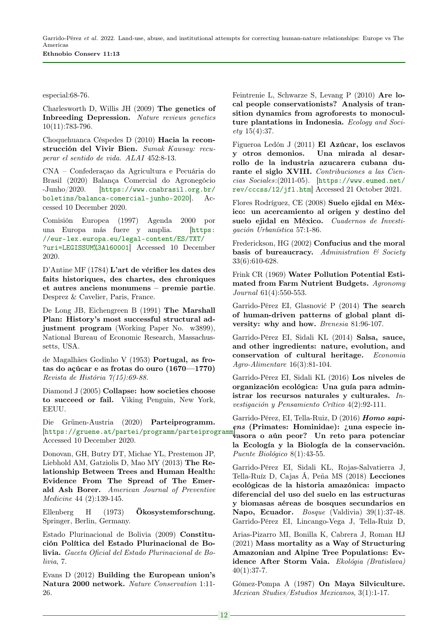especial:68-76.

Charlesworth D, Willis JH (2009) The genetics of Inbreeding Depression. Nature reviews genetics 10(11):783-796.

Choquehuanca Céspedes D (2010) Hacia la reconstrucción del Vivir Bien. Sumak Kawsay: recuperar el sentido de vida. ALAI 452:8-13.

CNA – Confederaçao da Agricultura e Pecuária do Brasil (2020) Balança Comercial do Agronegócio -Junho/2020. [[https://www.cnabrasil.org.br/](https://www.cnabrasil.org.br/boletins/balanca-comercial-junho-2020) [boletins/balanca-comercial-junho-2020](https://www.cnabrasil.org.br/boletins/balanca-comercial-junho-2020)]. Accessed 10 December 2020.

Comisión Europea (1997) Agenda 2000 por una Europa más fuere y amplia. [[https:](https://eur-lex.europa.eu/legal-content/ES/TXT/?uri=LEGISSUM%3Al60001) [//eur-lex.europa.eu/legal-content/ES/TXT/](https://eur-lex.europa.eu/legal-content/ES/TXT/?uri=LEGISSUM%3Al60001) [?uri=LEGISSUM%3Al60001](https://eur-lex.europa.eu/legal-content/ES/TXT/?uri=LEGISSUM%3Al60001)] Accessed 10 December 2020.

D'Antine MF (1784) L'art de vérifier les dates des faits historiques, des chartes, des chroniques et autres anciens monumens – premie partie. Desprez & Cavelier, Paris, France.

De Long JB, Eichengreen B (1991) The Marshall Plan: History's most successful structural adjustment program (Working Paper No. w3899), National Bureau of Economic Research, Massachussetts, USA.

de Magalhães Godinho V (1953) Portugal, as frotas do açúcar e as frotas do ouro (1670—1770) Revista de História 7(15):69-88.

Diamond J (2005) Collapse: how societies choose to succeed or fail. Viking Penguin, New York, EEUU.

Die Grünen-Austria (2020) Parteiprogramm. ens (Primates: Hominidae): ¿una especie in-<br>[<https://gruene.at/partei/programm/parteiprogramm>]pagens a són nega? In nata nana patencian Accessed 10 December 2020.

Donovan, GH, Butry DT, Michae YL, Prestemon JP, Liebhold AM, Gatziolis D, Mao MY (2013) The Relationship Between Trees and Human Health: Evidence From The Spread of The Emerald Ash Borer. American Journal of Preventive Medicine 44 (2):139-145.

Ellenberg H (1973) Ökosystemforschung. Springer, Berlin, Germany.

Estado Plurinacional de Bolivia (2009) Constitución Política del Estado Plurinacional de Bolivia. Gaceta Oficial del Estado Plurinacional de Bolivia, 7.

Evans D (2012) Building the European union's Natura 2000 network. Nature Conservation 1:11- 26.

Feintrenie L, Schwarze S, Levang P (2010) Are local people conservationists? Analysis of transition dynamics from agroforests to monoculture plantations in Indonesia. Ecology and Society 15(4):37.

Figueroa Ledón J (2011) El Azúcar, los esclavos y otros demonios. Una mirada al desarrollo de la industria azucarera cubana durante el siglo XVIII. Contribuciones a las Ciencias Sociales:(2011-05). [[https://www.eumed.net/](https://www.eumed.net/rev/cccss/12/jfl.htm) [rev/cccss/12/jfl.htm](https://www.eumed.net/rev/cccss/12/jfl.htm)] Accessed 21 October 2021.

Flores Rodríguez, CE (2008) Suelo ejidal en México: un acercamiento al origen y destino del suelo ejidal en México. Cuadernos de Investigación Urbanística 57:1-86.

Frederickson, HG (2002) Confucius and the moral basis of bureaucracy. Administration  $\mathcal C$  Society 33(6):610-628.

Frink CR (1969) Water Pollution Potential Estimated from Farm Nutrient Budgets. Agronomy Journal 61(4):550-553.

Garrido-Pérez EI, Glasnović P (2014) The search of human-driven patterns of global plant diversity: why and how. Brenesia 81:96-107.

Garrido-Pérez EI, Sidali KL (2014) Salsa, sauce, and other ingredients: nature, evolution, and conservation of cultural heritage. Economia Agro-Alimentare 16(3):81-104.

Garrido-Pérez EI, Sidali KL (2016) Los niveles de organización ecológica: Una guía para administrar los recursos naturales y culturales. Investigación y Pensamiento Crítico 4(2):92-111.

Garrido-Pérez, EI, Tella-Ruiz, D (2016) Homo sapivasora o aún peor? Un reto para potenciar la Ecología y la Biología de la conservación. Puente Biológico 8(1):43-55.

Garrido-Pérez EI, Sidali KL, Rojas-Salvatierra J, Tella-Ruíz D, Cajas Á, Peña MS (2018) Lecciones ecológicas de la historia amazónica: impacto diferencial del uso del suelo en las estructuras y biomasas aéreas de bosques secundarios en Napo, Ecuador. Bosque (Valdivia) 39(1):37-48. Garrido-Pérez EI, Lincango-Vega J, Tella-Ruiz D,

Arias-Pizarro MI, Bonilla K, Cabrera J, Roman HJ (2021) Mass mortality as a Way of Structuring Amazonian and Alpine Tree Populations: Evidence After Storm Vaia. Ekológia (Bratislava)  $40(1):37-7.$ 

Gómez-Pompa A (1987) On Maya Silviculture. Mexican Studies/Estudios Mexicanos, 3(1):1-17.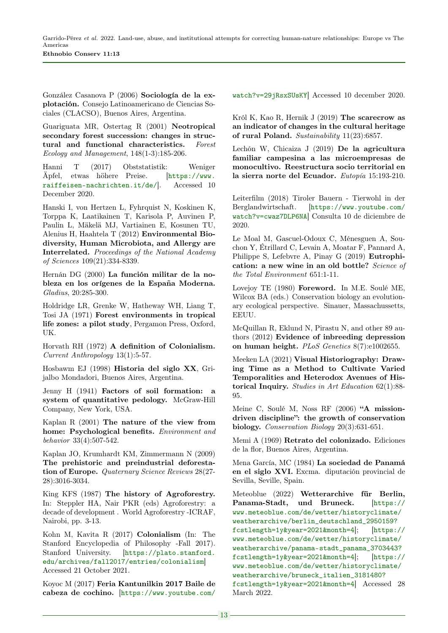González Casanova P (2006) Sociología de la explotación. Consejo Latinoamericano de Ciencias Sociales (CLACSO), Buenos Aires, Argentina.

Guariguata MR, Ostertag R (2001) Neotropical secondary forest succession: changes in structural and functional characteristics. Forest Ecology and Management, 148(1-3):185-206.

Hanni T (2017) Obststatistik: Weniger Äpfel, etwas höhere Preise. [[https://www.](https://www.raiffeisen-nachrichten.it/de/) [raiffeisen-nachrichten.it/de/](https://www.raiffeisen-nachrichten.it/de/)]. Accessed 10 December 2020.

Hanski I, von Hertzen L, Fyhrquist N, Koskinen K, Torppa K, Laatikainen T, Karisola P, Auvinen P, Paulin L, Mäkelä MJ, Vartiainen E, Kosunen TU, Alenius H, Haahtela T (2012) Environmental Biodiversity, Human Microbiota, and Allergy are Interrelated. Proceedings of the National Academy of Sciences 109(21):334-8339.

Hernán DG (2000) La función militar de la nobleza en los orígenes de la España Moderna. Gladius, 20:285-300.

Holdridge LR, Grenke W, Hatheway WH, Liang T, Tosi JA (1971) Forest environments in tropical life zones: a pilot study, Pergamon Press, Oxford, UK.

Horvath RH (1972) A definition of Colonialism. Current Anthropology 13(1):5-57.

Hosbawm EJ (1998) Historia del siglo XX, Grijalbo Mondadori, Buenos Aires, Argentina.

Jenny H (1941) Factors of soil formation: a system of quantitative pedology. McGraw-Hill Company, New York, USA.

Kaplan R (2001) The nature of the view from home: Psychological benefits. Environment and behavior 33(4):507-542.

Kaplan JO, Krumhardt KM, Zimmermann N (2009) The prehistoric and preindustrial deforestation of Europe. Quaternary Science Reviews 28(27- 28):3016-3034.

King KFS (1987) The history of Agroforestry. In: Steppler HA, Nair PKR (eds) Agroforestry: a decade of development . World Agroforestry -ICRAF, Nairobi, pp. 3-13.

Kohn M, Kavita R (2017) Colonialism (In: The Stanford Encyclopedia of Philosophy -Fall 2017). Stanford University. [[https://plato.stanford.](https://plato.stanford.edu/archives/fall2017/entries/colonialism) [edu/archives/fall2017/entries/colonialism](https://plato.stanford.edu/archives/fall2017/entries/colonialism)] Accessed 21 October 2021.

Koyoc M (2017) Feria Kantunilkin 2017 Baile de cabeza de cochino. [[https://www.youtube.com/](https://www.youtube.com/watch?v=29jRsxSUsKY)

[watch?v=29jRsxSUsKY](https://www.youtube.com/watch?v=29jRsxSUsKY)] Accessed 10 december 2020.

Król K, Kao R, Hernik J (2019) The scarecrow as an indicator of changes in the cultural heritage of rural Poland. Sustainability 11(23):6857.

Lechón W, Chicaiza J (2019) De la agricultura familiar campesina a las microempresas de monocultivo. Reestructura socio territorial en la sierra norte del Ecuador. Eutopía 15:193-210.

Leiterfilm (2018) Tiroler Bauern - Tierwohl in der Berglandwirtschaft. [[https://www.youtube.com/](https://www.youtube.com/watch?v=cwaz7DLP6NA) [watch?v=cwaz7DLP6NA](https://www.youtube.com/watch?v=cwaz7DLP6NA)] Consulta 10 de diciembre de 2020.

Le Moal M, Gascuel-Odoux C, Ménesguen A, Souchon Y, Étrillard C, Levain A, Moatar F, Pannard A, Philippe S, Lefebvre A, Pinay G (2019) Eutrophication: a new wine in an old bottle? Science of the Total Environment 651:1-11.

Lovejoy TE (1980) Foreword. In M.E. Soulé ME, Wilcox BA (eds.) Conservation biology an evolutionary ecological perspective. Sinauer, Massachussetts, EEUU.

McQuillan R, Eklund N, Pirastu N, and other 89 authors (2012) Evidence of inbreeding depression on human height. PLoS Genetics 8(7):e1002655.

Meeken LA (2021) Visual Historiography: Drawing Time as a Method to Cultivate Varied Temporalities and Heterodox Avenues of Historical Inquiry. Studies in Art Education 62(1):88- 95.

Meine C, Soulé M, Noss RF (2006) "A missiondriven discipline": the growth of conservation biology. Conservation Biology 20(3):631-651.

Memi A (1969) Retrato del colonizado. Ediciones de la flor, Buenos Aires, Argentina.

Mena García, MC (1984) La sociedad de Panamá en el siglo XVI. Excma. diputación provincial de Sevilla, Seville, Spain.

Meteoblue (2022) Wetterarchive für Berlin, Panama-Stadt, und Bruneck. [[https://](https://www.meteoblue.com/de/wetter/historyclimate/weatherarchive/berlin_deutschland_2950159?fcstlength=1y&year=2021&month=4) [www.meteoblue.com/de/wetter/historyclimate/](https://www.meteoblue.com/de/wetter/historyclimate/weatherarchive/berlin_deutschland_2950159?fcstlength=1y&year=2021&month=4) [weatherarchive/berlin\\_deutschland\\_2950159?](https://www.meteoblue.com/de/wetter/historyclimate/weatherarchive/berlin_deutschland_2950159?fcstlength=1y&year=2021&month=4) [fcstlength=1y&year=2021&month=4](https://www.meteoblue.com/de/wetter/historyclimate/weatherarchive/berlin_deutschland_2950159?fcstlength=1y&year=2021&month=4)]; [[https://](https://www.meteoblue.com/de/wetter/historyclimate/weatherarchive/panama-stadt_panama_3703443?fcstlength=1y&year=2021&month=4) [www.meteoblue.com/de/wetter/historyclimate/](https://www.meteoblue.com/de/wetter/historyclimate/weatherarchive/panama-stadt_panama_3703443?fcstlength=1y&year=2021&month=4) [weatherarchive/panama-stadt\\_panama\\_3703443?](https://www.meteoblue.com/de/wetter/historyclimate/weatherarchive/panama-stadt_panama_3703443?fcstlength=1y&year=2021&month=4) [fcstlength=1y&year=2021&month=4](https://www.meteoblue.com/de/wetter/historyclimate/weatherarchive/panama-stadt_panama_3703443?fcstlength=1y&year=2021&month=4)]; [[https://](https://www.meteoblue.com/de/wetter/historyclimate/weatherarchive/bruneck_italien_3181480?fcstlength=1y&year=2021&month=4) [www.meteoblue.com/de/wetter/historyclimate/](https://www.meteoblue.com/de/wetter/historyclimate/weatherarchive/bruneck_italien_3181480?fcstlength=1y&year=2021&month=4) [weatherarchive/bruneck\\_italien\\_3181480?](https://www.meteoblue.com/de/wetter/historyclimate/weatherarchive/bruneck_italien_3181480?fcstlength=1y&year=2021&month=4) [fcstlength=1y&year=2021&month=4](https://www.meteoblue.com/de/wetter/historyclimate/weatherarchive/bruneck_italien_3181480?fcstlength=1y&year=2021&month=4)] Accessed 28 March 2022.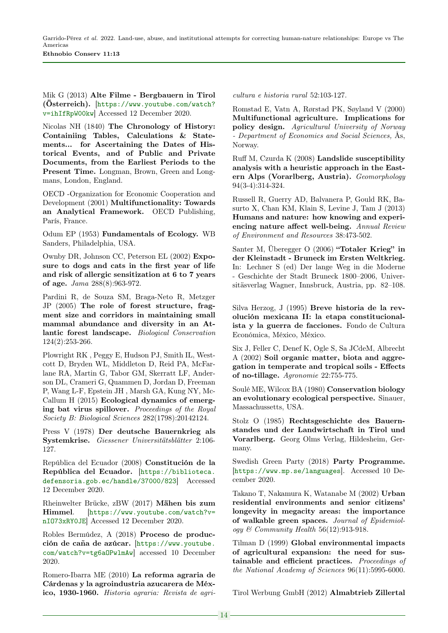Mik G (2013) Alte Filme - Bergbauern in Tirol (Österreich). [[https://www.youtube.com/watch?](https://www.youtube.com/watch?v=ihIfRpW00kw) [v=ihIfRpW00kw](https://www.youtube.com/watch?v=ihIfRpW00kw)] Accessed 12 December 2020.

Nicolas NH (1840) The Chronology of History: Containiing Tables, Calculations & Statements... for Ascertaining the Dates of Historical Events, and of Public and Private Documents, from the Earliest Periods to the Present Time. Longman, Brown, Green and Longmans, London, England.

OECD -Organization for Economic Cooperation and Development (2001) Multifunctionality: Towards an Analytical Framework. OECD Publishing, París, France.

Odum EP (1953) Fundamentals of Ecology. WB Sanders, Philadelphia, USA.

Ownby DR, Johnson CC, Peterson EL (2002) Exposure to dogs and cats in the first year of life and risk of allergic sensitization at 6 to 7 years of age. Jama 288(8):963-972.

Pardini R, de Souza SM, Braga-Neto R, Metzger JP (2005) The role of forest structure, fragment size and corridors in maintaining small mammal abundance and diversity in an Atlantic forest landscape. Biological Conservation 124(2):253-266.

Plowright RK , Peggy E, Hudson PJ, Smith IL, Westcott D, Bryden WL, Middleton D, Reid PA, McFarlane RA, Martin G, Tabor GM, Skerratt LF, Anderson DL, Crameri G, Quammen D, Jordan D, Freeman P, Wang L-F, Epstein JH , Marsh GA, Kung NY, Mc-Callum H (2015) Ecological dynamics of emerging bat virus spillover. Proceedings of the Royal Society B: Biological Sciences 282(1798):20142124.

Press V (1978) Der deutsche Bauernkrieg als Systemkrise. Giessener Universitätsblätter 2:106- 127.

República del Ecuador (2008) Constitución de la República del Ecuador. [[https://biblioteca.](https://biblioteca.defensoria.gob.ec/handle/37000/823) [defensoria.gob.ec/handle/37000/823](https://biblioteca.defensoria.gob.ec/handle/37000/823)] Accessed 12 December 2020.

Rheinwelter Brücke, zBW (2017) Mähen bis zum Himmel. [[https://www.youtube.com/watch?v=](https://www.youtube.com/watch?v=nIO73xRY0JE) [nIO73xRY0JE](https://www.youtube.com/watch?v=nIO73xRY0JE)] Accessed 12 December 2020.

Robles Bermúdez, A (2018) Proceso de producción de caña de azúcar. [[https://www.youtube.](https://www.youtube.com/watch?v=tg6aOPwlmAw) [com/watch?v=tg6aOPwlmAw](https://www.youtube.com/watch?v=tg6aOPwlmAw)] accessed 10 December 2020.

Romero-Ibarra ME (2010) La reforma agraria de Cárdenas y la agroindustria azucarera de México, 1930-1960. Historia agraria: Revista de agricultura e historia rural 52:103-127.

Romstad E, Vatn A, Rørstad PK, Søyland V (2000) Multifunctional agriculture. Implications for policy design. Agricultural University of Norway - Department of Economics and Social Sciences, Ås, Norway.

Ruff M, Czurda K (2008) Landslide susceptibility analysis with a heuristic approach in the Eastern Alps (Vorarlberg, Austria). Geomorphology 94(3-4):314-324.

Russell R, Guerry AD, Balvanera P, Gould RK, Basurto X, Chan KM, Klain S, Levine J, Tam J (2013) Humans and nature: how knowing and experiencing nature affect well-being. Annual Review of Environment and Resources 38:473-502.

Santer M, Überegger O (2006) "Totaler Krieg" in der Kleinstadt - Bruneck im Ersten Weltkrieg. In: Lechner S (ed) Der lange Weg in die Moderne - Geschichte der Stadt Bruneck 1800–2006, Universitäsverlag Wagner, Innsbruck, Austria, pp. 82–108.

Silva Herzog, J (1995) Breve historia de la revolución mexicana II: la etapa constitucionalista y la guerra de facciones. Fondo de Cultura Económica, México, México.

Six J, Feller C, Denef K, Ogle S, Sa JCdeM, Albrecht A (2002) Soil organic matter, biota and aggregation in temperate and tropical soils - Effects of no-tillage. Agronomie 22:755-775.

Soulé ME, Wilcox BA (1980) Conservation biology an evolutionary ecological perspective. Sinauer, Massachussetts, USA.

Stolz O (1985) Rechtsgeschichte des Bauernstandes und der Landwirtschaft in Tirol und Vorarlberg. Georg Olms Verlag, Hildesheim, Germany.

Swedish Green Party (2018) Party Programme. [<https://www.mp.se/languages>]. Accessed 10 December 2020.

Takano T, Nakamura K, Watanabe M (2002) Urban residential environments and senior citizens' longevity in megacity areas: the importance of walkable green spaces. Journal of Epidemiology & Community Health 56(12):913-918.

Tilman D (1999) Global environmental impacts of agricultural expansion: the need for sustainable and efficient practices. Proceedings of the National Academy of Sciences 96(11):5995-6000.

Tirol Werbung GmbH (2012) Almabtrieb Zillertal